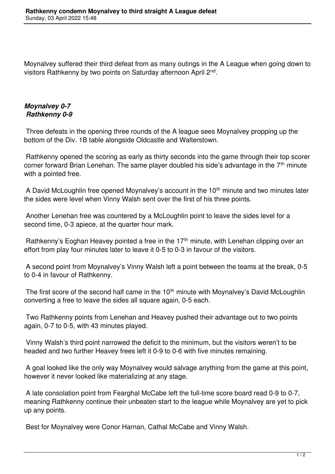Moynalvey suffered their third defeat from as many outings in the A League when going down to visitors Rathkenny by two points on Saturday afternoon April 2<sup>nd</sup>.

## *Moynalvey 0-7 Rathkenny 0-9*

 Three defeats in the opening three rounds of the A league sees Moynalvey propping up the bottom of the Div. 1B table alongside Oldcastle and Walterstown.

 Rathkenny opened the scoring as early as thirty seconds into the game through their top scorer corner forward Brian Lenehan. The same player doubled his side's advantage in the  $7<sup>th</sup>$  minute with a pointed free.

A David McLoughlin free opened Moynalvey's account in the  $10<sup>th</sup>$  minute and two minutes later the sides were level when Vinny Walsh sent over the first of his three points.

 Another Lenehan free was countered by a McLoughlin point to leave the sides level for a second time, 0-3 apiece, at the quarter hour mark.

Rathkenny's Eoghan Heavey pointed a free in the  $17<sup>th</sup>$  minute, with Lenehan clipping over an effort from play four minutes later to leave it 0-5 to 0-3 in favour of the visitors.

 A second point from Moynalvey's Vinny Walsh left a point between the teams at the break, 0-5 to 0-4 in favour of Rathkenny.

The first score of the second half came in the 10<sup>th</sup> minute with Moynalvey's David McLoughlin converting a free to leave the sides all square again, 0-5 each.

 Two Rathkenny points from Lenehan and Heavey pushed their advantage out to two points again, 0-7 to 0-5, with 43 minutes played.

 Vinny Walsh's third point narrowed the deficit to the minimum, but the visitors weren't to be headed and two further Heavey frees left it 0-9 to 0-6 with five minutes remaining.

 A goal looked like the only way Moynalvey would salvage anything from the game at this point, however it never looked like materializing at any stage.

 A late consolation point from Fearghal McCabe left the full-time score board read 0-9 to 0-7, meaning Rathkenny continue their unbeaten start to the league while Moynalvey are yet to pick up any points.

Best for Moynalvey were Conor Harnan, Cathal McCabe and Vinny Walsh.